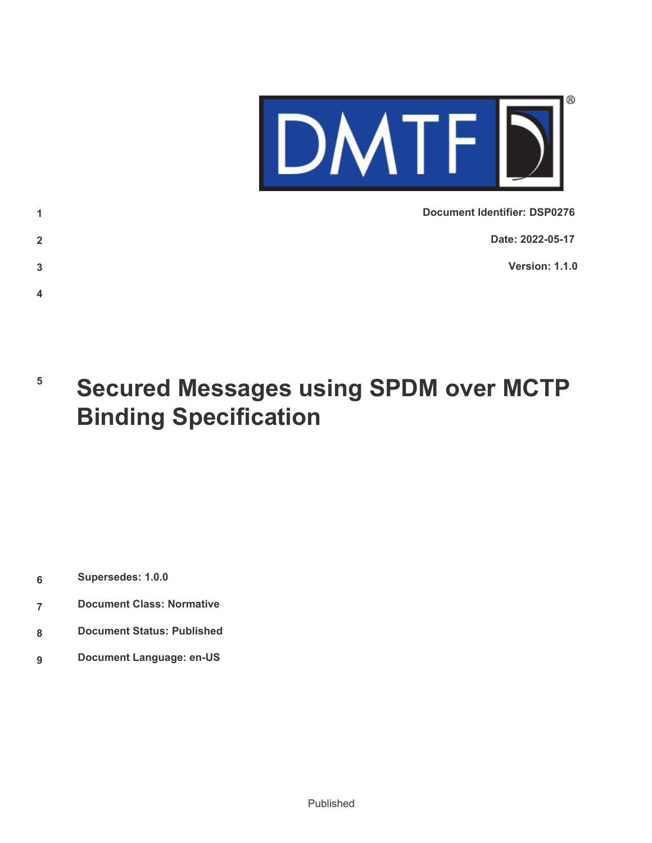

**<sup>5</sup> Secured Messages using SPDM over MCTP Binding Specification**

**6 Supersedes: 1.0.0**

**1**

**2**

**3**

**4**

- **7 Document Class: Normative**
- **8 Document Status: Published**
- **9 Document Language: en-US**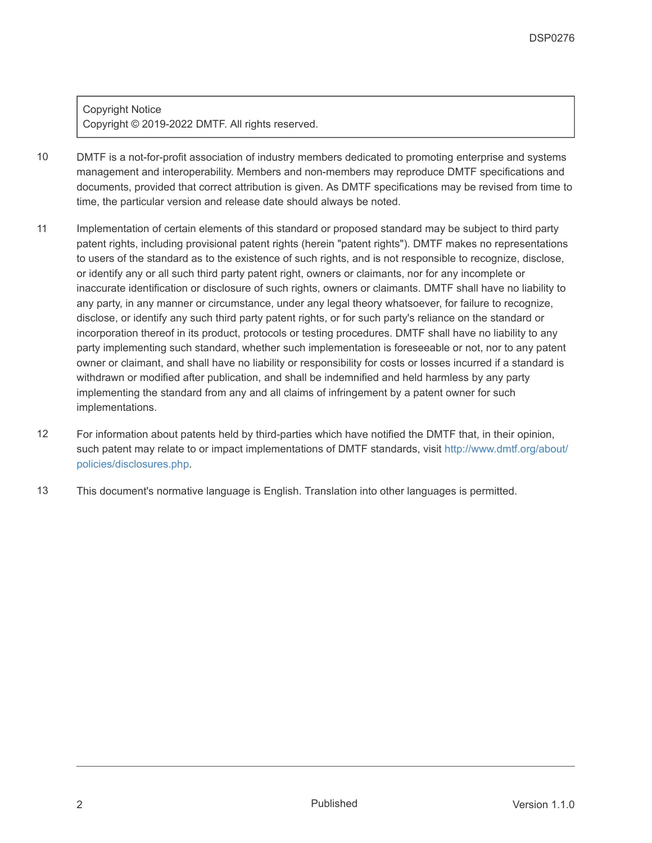Copyright Notice Copyright © 2019-2022 DMTF. All rights reserved.

- 10 DMTF is a not-for-profit association of industry members dedicated to promoting enterprise and systems management and interoperability. Members and non-members may reproduce DMTF specifications and documents, provided that correct attribution is given. As DMTF specifications may be revised from time to time, the particular version and release date should always be noted.
- 11 Implementation of certain elements of this standard or proposed standard may be subject to third party patent rights, including provisional patent rights (herein "patent rights"). DMTF makes no representations to users of the standard as to the existence of such rights, and is not responsible to recognize, disclose, or identify any or all such third party patent right, owners or claimants, nor for any incomplete or inaccurate identification or disclosure of such rights, owners or claimants. DMTF shall have no liability to any party, in any manner or circumstance, under any legal theory whatsoever, for failure to recognize, disclose, or identify any such third party patent rights, or for such party's reliance on the standard or incorporation thereof in its product, protocols or testing procedures. DMTF shall have no liability to any party implementing such standard, whether such implementation is foreseeable or not, nor to any patent owner or claimant, and shall have no liability or responsibility for costs or losses incurred if a standard is withdrawn or modified after publication, and shall be indemnified and held harmless by any party implementing the standard from any and all claims of infringement by a patent owner for such implementations.
- 12 For information about patents held by third-parties which have notified the DMTF that, in their opinion, such patent may relate to or impact implementations of DMTF standards, visit [http://www.dmtf.org/about/](http://www.dmtf.org/about/policies/disclosures.php) [policies/disclosures.php.](http://www.dmtf.org/about/policies/disclosures.php)
- 13 This document's normative language is English. Translation into other languages is permitted.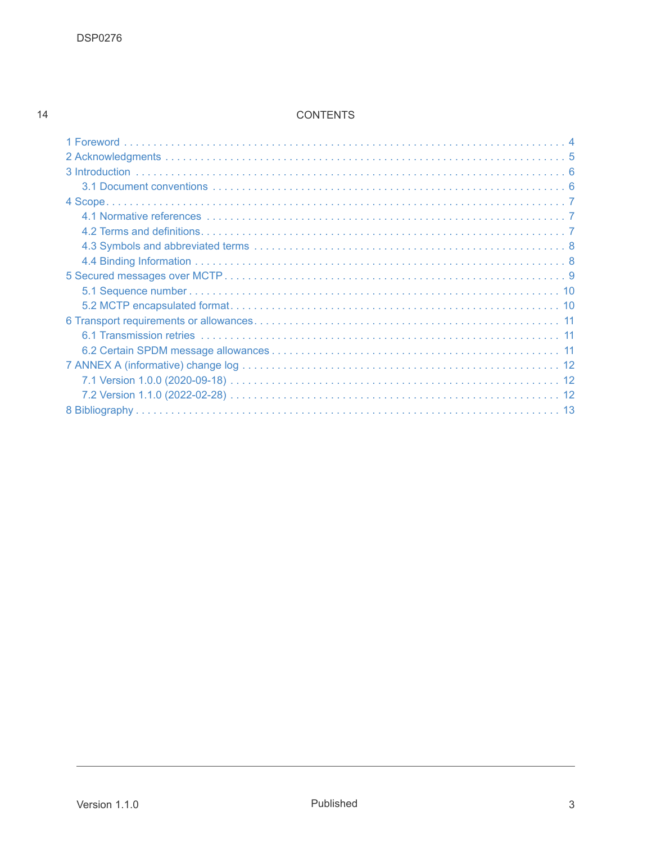#### **CONTENTS**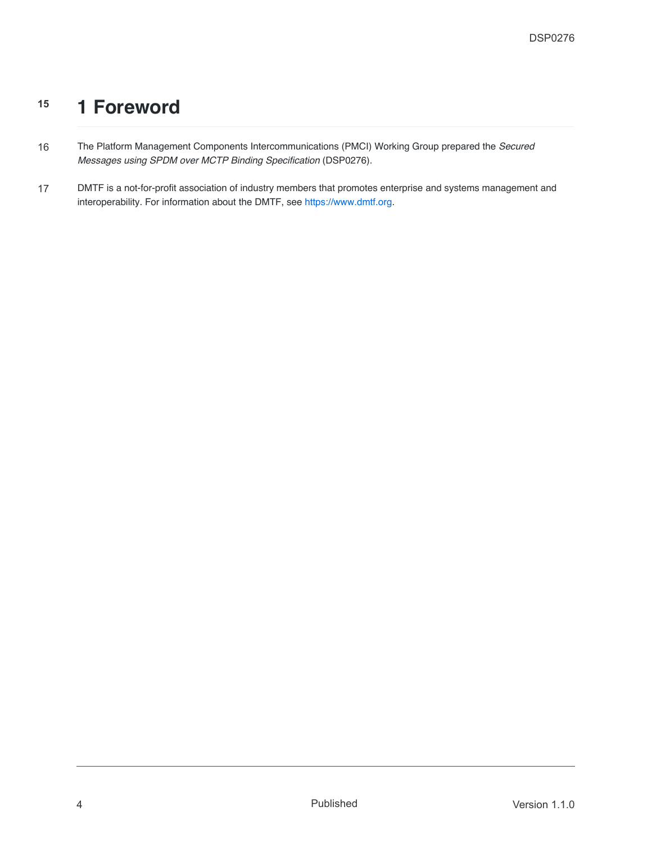## <span id="page-3-0"></span>**<sup>15</sup> 1 Foreword**

- 16 The Platform Management Components Intercommunications (PMCI) Working Group prepared the *Secured Messages using SPDM over MCTP Binding Specification* (DSP0276).
- 17 DMTF is a not-for-profit association of industry members that promotes enterprise and systems management and interoperability. For information about the DMTF, see [https://www.dmtf.org](https://www.dmtf.org/).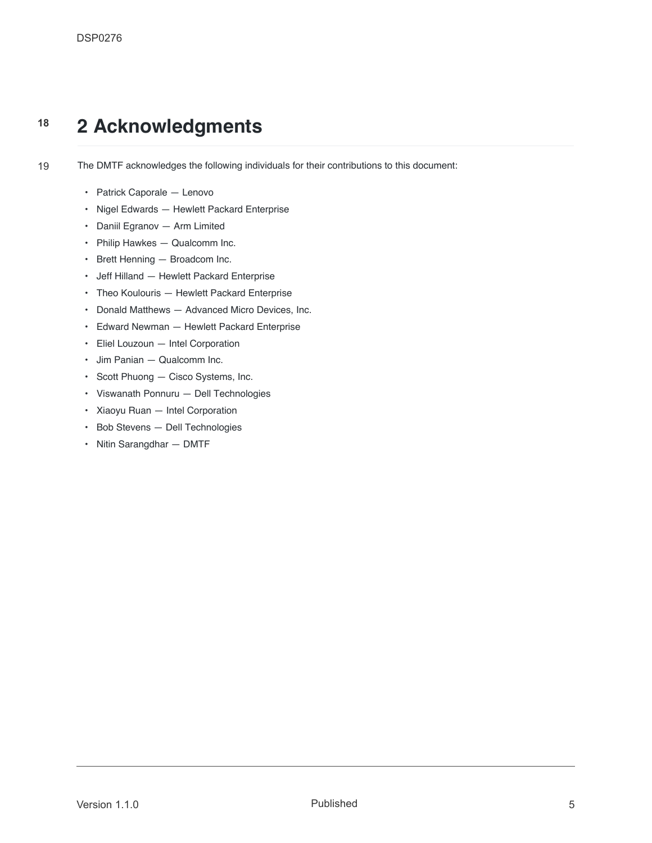# <span id="page-4-0"></span>**<sup>18</sup> 2 Acknowledgments**

19 The DMTF acknowledges the following individuals for their contributions to this document:

- Patrick Caporale Lenovo
- Nigel Edwards Hewlett Packard Enterprise
- Daniil Egranov Arm Limited
- Philip Hawkes Qualcomm Inc.
- Brett Henning Broadcom Inc.
- Jeff Hilland Hewlett Packard Enterprise
- Theo Koulouris Hewlett Packard Enterprise
- Donald Matthews Advanced Micro Devices, Inc.
- Edward Newman Hewlett Packard Enterprise
- Eliel Louzoun Intel Corporation
- Jim Panian Qualcomm Inc.
- Scott Phuong Cisco Systems, Inc.
- Viswanath Ponnuru Dell Technologies
- Xiaoyu Ruan Intel Corporation
- Bob Stevens Dell Technologies
- Nitin Sarangdhar DMTF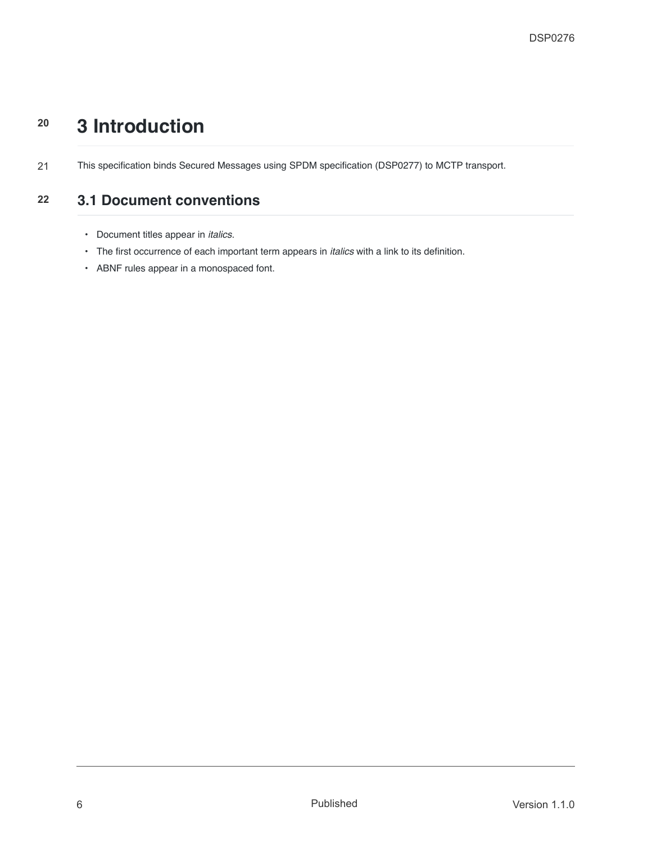## <span id="page-5-0"></span>**<sup>20</sup> 3 Introduction**

21 This specification binds Secured Messages using SPDM specification (DSP0277) to MCTP transport.

## <span id="page-5-1"></span>**22 3.1 Document conventions**

- Document titles appear in *italics*.
- The first occurrence of each important term appears in *italics* with a link to its definition.
- ABNF rules appear in a monospaced font.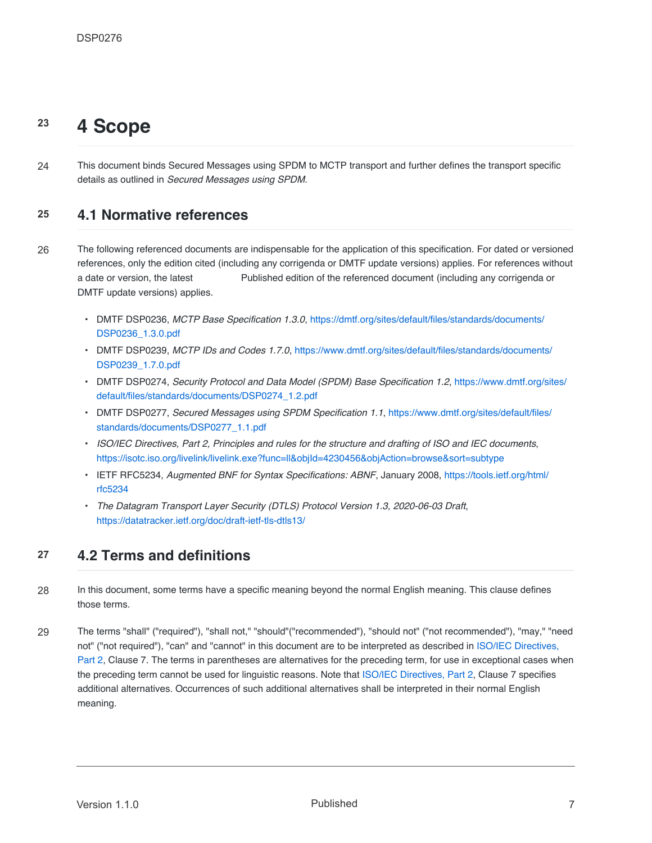## <span id="page-6-0"></span>**<sup>23</sup> 4 Scope**

24 This document binds Secured Messages using SPDM to MCTP transport and further defines the transport specific details as outlined in *Secured Messages using SPDM*.

#### <span id="page-6-1"></span>**25 4.1 Normative references**

- <span id="page-6-6"></span><span id="page-6-5"></span><span id="page-6-4"></span>26 The following referenced documents are indispensable for the application of this specification. For dated or versioned references, only the edition cited (including any corrigenda or DMTF update versions) applies. For references without a date or version, the latest Published edition of the referenced document (including any corrigenda or DMTF update versions) applies.
	- DMTF DSP0236, *MCTP Base Specification 1.3.0*, [https://dmtf.org/sites/default/files/standards/documents/](https://dmtf.org/sites/default/files/standards/documents/DSP0236_1.3.0.pdf) [DSP0236\\_1.3.0.pdf](https://dmtf.org/sites/default/files/standards/documents/DSP0236_1.3.0.pdf)
	- DMTF DSP0239, *MCTP IDs and Codes 1.7.0*, [https://www.dmtf.org/sites/default/files/standards/documents/](https://www.dmtf.org/sites/default/files/standards/documents/DSP0239_1.7.0.pdf) [DSP0239\\_1.7.0.pdf](https://www.dmtf.org/sites/default/files/standards/documents/DSP0239_1.7.0.pdf)
	- DMTF DSP0274, *Security Protocol and Data Model (SPDM) Base Specification 1.2*, [https://www.dmtf.org/sites/](https://www.dmtf.org/sites/default/files/standards/documents/DSP0274_1.2.pdf) [default/files/standards/documents/DSP0274\\_1.2.pdf](https://www.dmtf.org/sites/default/files/standards/documents/DSP0274_1.2.pdf)
	- DMTF DSP0277, *Secured Messages using SPDM Specification 1.1*, [https://www.dmtf.org/sites/default/files/](https://www.dmtf.org/sites/default/files/standards/documents/DSP0277_1.1.pdf) [standards/documents/DSP0277\\_1.1.pdf](https://www.dmtf.org/sites/default/files/standards/documents/DSP0277_1.1.pdf)
	- *ISO/IEC Directives, Part 2, Principles and rules for the structure and drafting of ISO and IEC documents*, <https://isotc.iso.org/livelink/livelink.exe?func=ll&objId=4230456&objAction=browse&sort=subtype>
	- IETF RFC5234, *Augmented BNF for Syntax Specifications: ABNF*, January 2008, [https://tools.ietf.org/html/](https://tools.ietf.org/html/rfc5234) [rfc5234](https://tools.ietf.org/html/rfc5234)
	- *The Datagram Transport Layer Security (DTLS) Protocol Version 1.3, 2020-06-03 Draft*, <https://datatracker.ietf.org/doc/draft-ietf-tls-dtls13/>

#### <span id="page-6-8"></span><span id="page-6-7"></span><span id="page-6-3"></span><span id="page-6-2"></span>**27 4.2 Terms and definitions**

- 28 In this document, some terms have a specific meaning beyond the normal English meaning. This clause defines those terms.
- 29 The terms "shall" ("required"), "shall not," "should"("recommended"), "should not" ("not recommended"), "may," "need not" ("not required"), "can" and "cannot" in this document are to be interpreted as described in [ISO/IEC Directives,](#page-6-3) [Part 2,](#page-6-3) Clause 7. The terms in parentheses are alternatives for the preceding term, for use in exceptional cases when the preceding term cannot be used for linguistic reasons. Note that [ISO/IEC Directives, Part 2](#page-6-3), Clause 7 specifies additional alternatives. Occurrences of such additional alternatives shall be interpreted in their normal English meaning.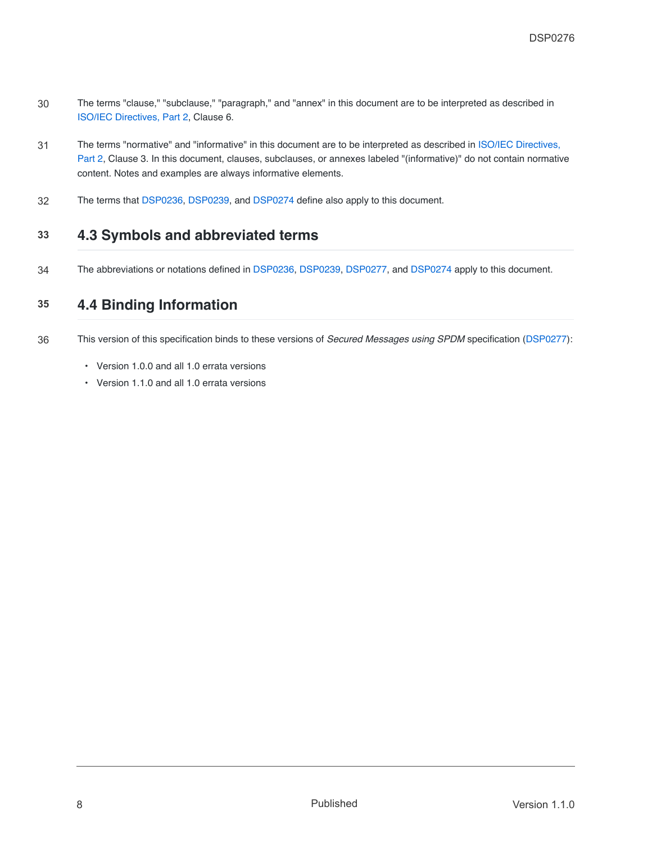- 30 The terms "clause," "subclause," "paragraph," and "annex" in this document are to be interpreted as described in [ISO/IEC Directives, Part 2,](#page-6-3) Clause 6.
- 31 The terms "normative" and "informative" in this document are to be interpreted as described in [ISO/IEC Directives,](#page-6-3) [Part 2,](#page-6-3) Clause 3. In this document, clauses, subclauses, or annexes labeled "(informative)" do not contain normative content. Notes and examples are always informative elements.
- 32 The terms that [DSP0236,](#page-6-4) [DSP0239](#page-6-5), and [DSP0274](#page-6-6) define also apply to this document.

### <span id="page-7-0"></span>**33 4.3 Symbols and abbreviated terms**

34 The abbreviations or notations defined in [DSP0236](#page-6-4), [DSP0239,](#page-6-5) [DSP0277](#page-6-7), and [DSP0274](#page-6-6) apply to this document.

### <span id="page-7-1"></span>**35 4.4 Binding Information**

36 This version of this specification binds to these versions of *Secured Messages using SPDM* specification ([DSP0277](#page-6-7)):

- Version 1.0.0 and all 1.0 errata versions
- Version 1.1.0 and all 1.0 errata versions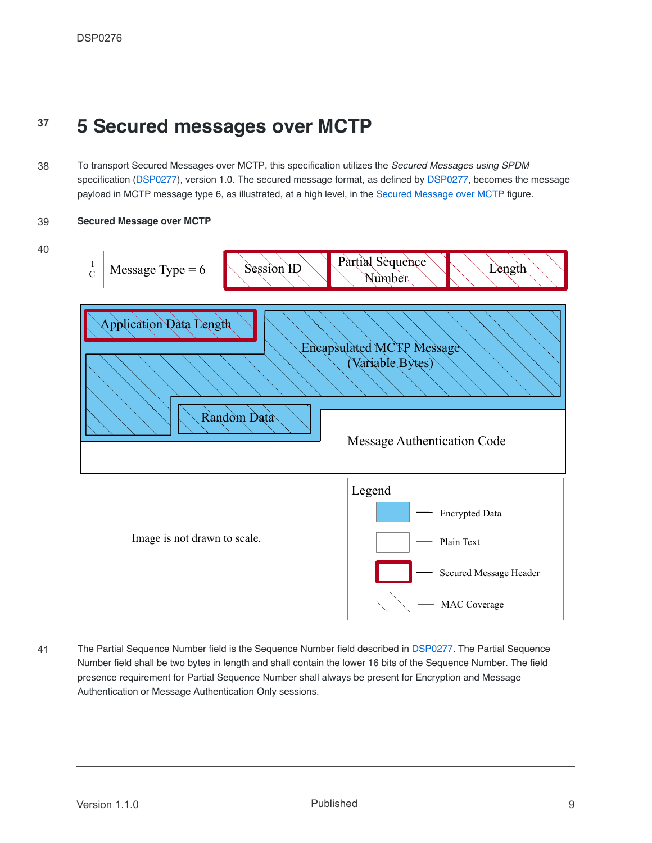## <span id="page-8-0"></span>**<sup>37</sup> 5 Secured messages over MCTP**

38 To transport Secured Messages over MCTP, this specification utilizes the *Secured Messages using SPDM* specification ([DSP0277](#page-6-7)), version 1.0. The secured message format, as defined by [DSP0277,](#page-6-7) becomes the message payload in MCTP message type 6, as illustrated, at a high level, in the [Secured Message over MCTP](#page-8-1) figure.

<span id="page-8-1"></span>39 **Secured Message over MCTP**

40



41 The Partial Sequence Number field is the Sequence Number field described in [DSP0277](#page-6-7). The Partial Sequence Number field shall be two bytes in length and shall contain the lower 16 bits of the Sequence Number. The field presence requirement for Partial Sequence Number shall always be present for Encryption and Message Authentication or Message Authentication Only sessions.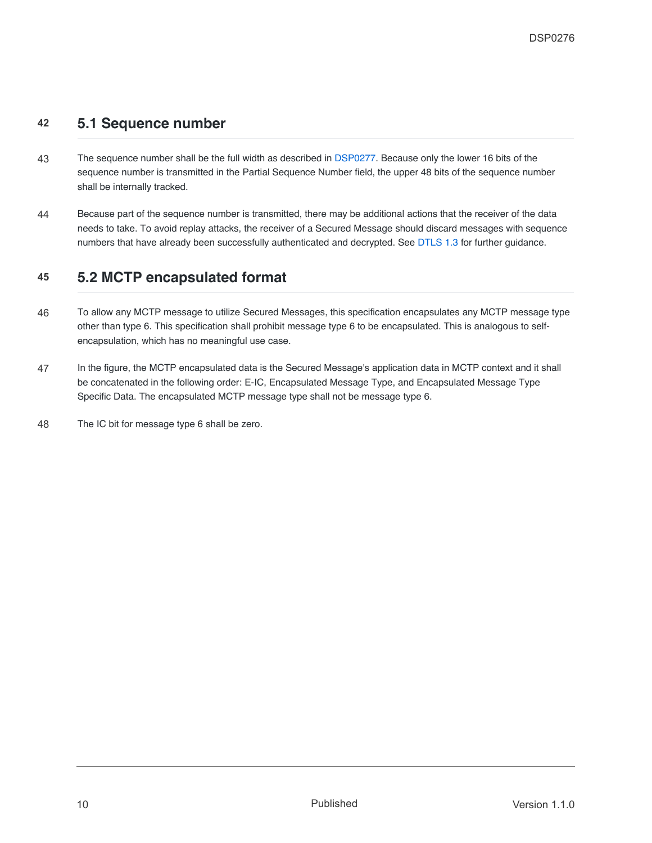#### <span id="page-9-0"></span>**42 5.1 Sequence number**

- 43 The sequence number shall be the full width as described in [DSP0277.](#page-6-7) Because only the lower 16 bits of the sequence number is transmitted in the Partial Sequence Number field, the upper 48 bits of the sequence number shall be internally tracked.
- 44 Because part of the sequence number is transmitted, there may be additional actions that the receiver of the data needs to take. To avoid replay attacks, the receiver of a Secured Message should discard messages with sequence numbers that have already been successfully authenticated and decrypted. See [DTLS 1.3](#page-6-8) for further guidance.

### <span id="page-9-1"></span>**45 5.2 MCTP encapsulated format**

- 46 To allow any MCTP message to utilize Secured Messages, this specification encapsulates any MCTP message type other than type 6. This specification shall prohibit message type 6 to be encapsulated. This is analogous to selfencapsulation, which has no meaningful use case.
- 47 In the figure, the MCTP encapsulated data is the Secured Message's application data in MCTP context and it shall be concatenated in the following order: E-IC, Encapsulated Message Type, and Encapsulated Message Type Specific Data. The encapsulated MCTP message type shall not be message type 6.
- 48 The IC bit for message type 6 shall be zero.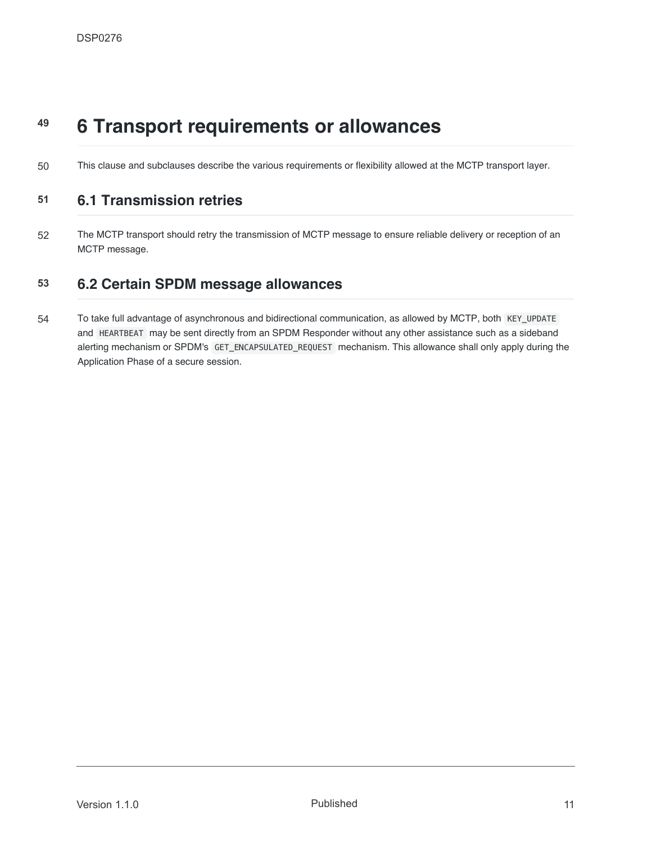# <span id="page-10-0"></span>**<sup>49</sup> 6 Transport requirements or allowances**

50 This clause and subclauses describe the various requirements or flexibility allowed at the MCTP transport layer.

### <span id="page-10-1"></span>**51 6.1 Transmission retries**

52 The MCTP transport should retry the transmission of MCTP message to ensure reliable delivery or reception of an MCTP message.

### <span id="page-10-2"></span>**53 6.2 Certain SPDM message allowances**

54 To take full advantage of asynchronous and bidirectional communication, as allowed by MCTP, both KEY\_UPDATE and HEARTBEAT may be sent directly from an SPDM Responder without any other assistance such as a sideband alerting mechanism or SPDM's GET\_ENCAPSULATED\_REQUEST mechanism. This allowance shall only apply during the Application Phase of a secure session.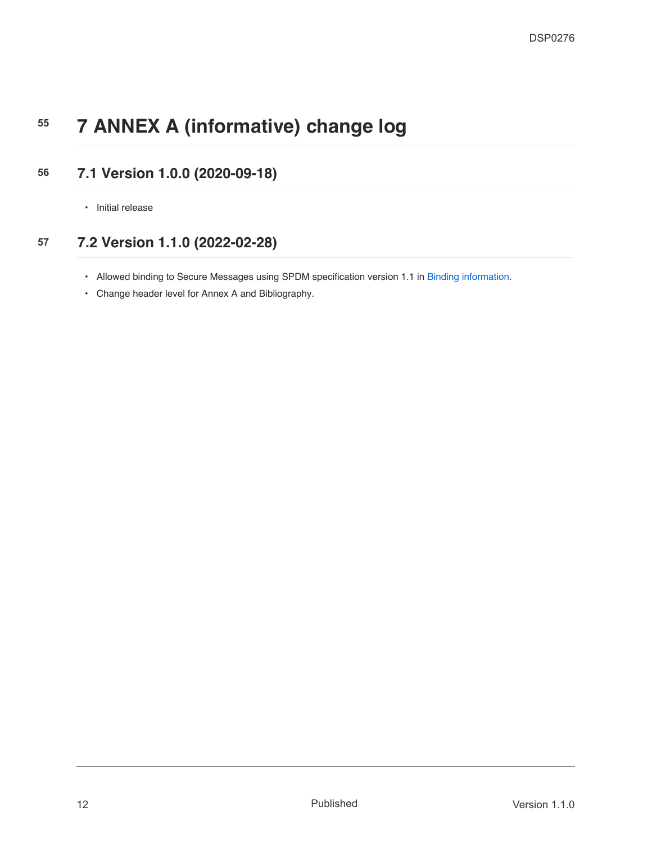# <span id="page-11-0"></span>**<sup>55</sup> 7 ANNEX A (informative) change log**

### <span id="page-11-1"></span>**56 7.1 Version 1.0.0 (2020-09-18)**

• Initial release

## <span id="page-11-2"></span>**57 7.2 Version 1.1.0 (2022-02-28)**

• Allowed binding to Secure Messages using SPDM specification version 1.1 in [Binding information](#page-7-1).

• Change header level for Annex A and Bibliography.